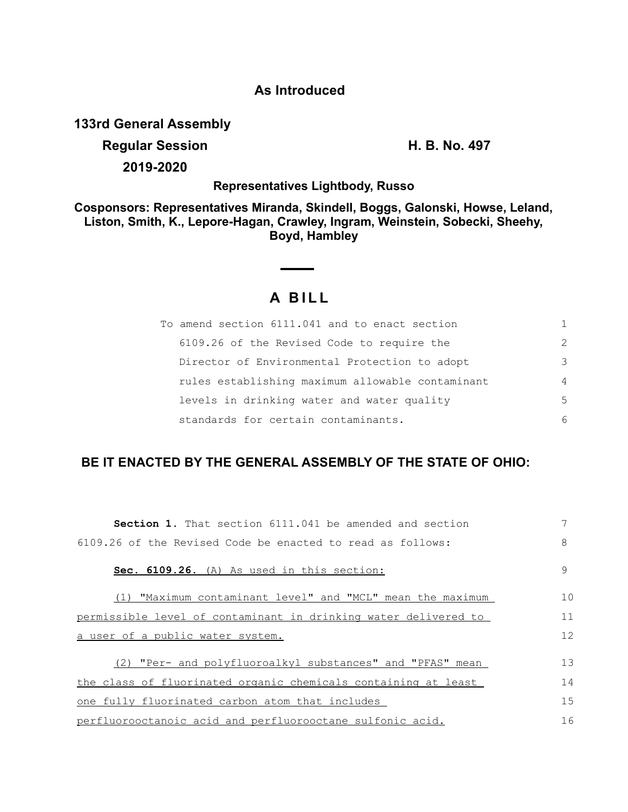### **As Introduced**

**133rd General Assembly**

# **Regular Session H. B. No. 497 2019-2020**

**Representatives Lightbody, Russo**

**Cosponsors: Representatives Miranda, Skindell, Boggs, Galonski, Howse, Leland, Liston, Smith, K., Lepore-Hagan, Crawley, Ingram, Weinstein, Sobecki, Sheehy, Boyd, Hambley**

## **A B I L L**

| To amend section 6111.041 and to enact section   |                |
|--------------------------------------------------|----------------|
| 6109.26 of the Revised Code to require the       | $\mathcal{L}$  |
| Director of Environmental Protection to adopt    | 3              |
| rules establishing maximum allowable contaminant | $\overline{4}$ |
| levels in drinking water and water quality       | 5              |
| standards for certain contaminants.              | 6              |

## **BE IT ENACTED BY THE GENERAL ASSEMBLY OF THE STATE OF OHIO:**

| <b>Section 1.</b> That section 6111.041 be amended and section  |    |
|-----------------------------------------------------------------|----|
| 6109.26 of the Revised Code be enacted to read as follows:      | 8  |
| Sec. 6109.26. (A) As used in this section:                      | 9  |
| (1) "Maximum contaminant level" and "MCL" mean the maximum      | 10 |
| permissible level of contaminant in drinking water delivered to | 11 |
| a user of a public water system.                                | 12 |
| (2) "Per- and polyfluoroalkyl substances" and "PFAS" mean       | 13 |
| the class of fluorinated organic chemicals containing at least  | 14 |
| one fully fluorinated carbon atom that includes                 | 15 |
| perfluorooctanoic acid and perfluorooctane sulfonic acid.       | 16 |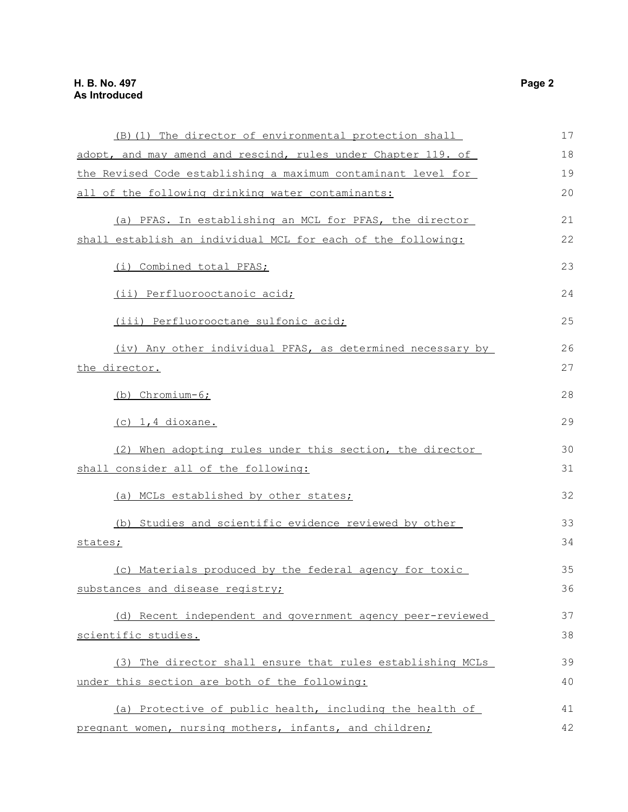| (B) (1) The director of environmental protection shall        | 17 |
|---------------------------------------------------------------|----|
|                                                               |    |
| adopt, and may amend and rescind, rules under Chapter 119. of | 18 |
| the Revised Code establishing a maximum contaminant level for | 19 |
| all of the following drinking water contaminants:             | 20 |
|                                                               |    |
| (a) PFAS. In establishing an MCL for PFAS, the director       | 21 |
| shall establish an individual MCL for each of the following:  | 22 |
| (i) Combined total PFAS;                                      | 23 |
| (ii) Perfluorooctanoic acid;                                  | 24 |
| (iii) Perfluorooctane sulfonic acid;                          | 25 |
| (iv) Any other individual PFAS, as determined necessary by    | 26 |
| the director.                                                 | 27 |
| (b) Chromium-6;                                               | 28 |
|                                                               |    |
| $(c)$ 1,4 dioxane.                                            | 29 |
| (2) When adopting rules under this section, the director      | 30 |
| shall consider all of the following:                          | 31 |
| (a) MCLs established by other states;                         | 32 |
| (b) Studies and scientific evidence reviewed by other         | 33 |
| states;                                                       | 34 |
| (c) Materials produced by the federal agency for toxic        | 35 |
| substances and disease registry;                              | 36 |
|                                                               |    |
| (d) Recent independent and government agency peer-reviewed    | 37 |
| scientific studies.                                           | 38 |
| (3) The director shall ensure that rules establishing MCLs    | 39 |
| under this section are both of the following:                 | 40 |
|                                                               | 41 |
| (a) Protective of public health, including the health of      |    |
| pregnant women, nursing mothers, infants, and children;       | 42 |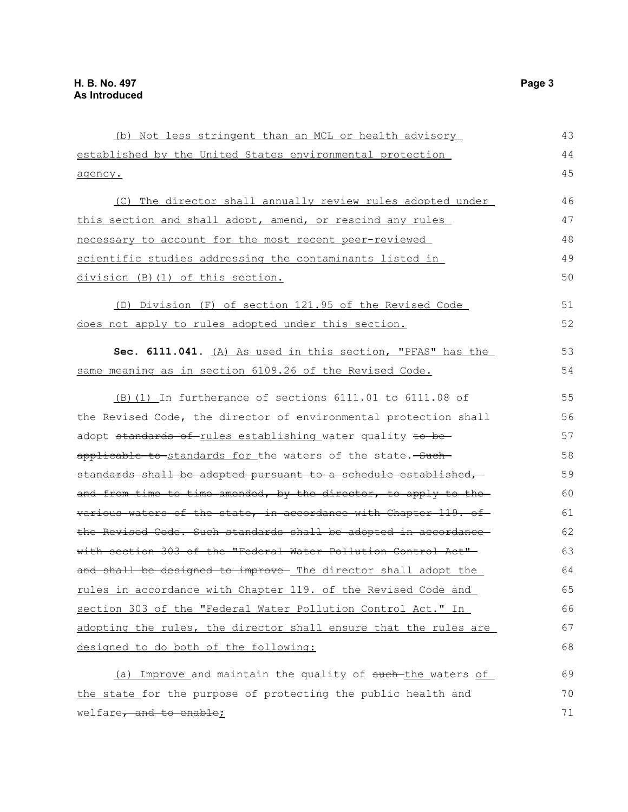| (b) Not less stringent than an MCL or health advisory            | 43 |
|------------------------------------------------------------------|----|
| established by the United States environmental protection        | 44 |
| agency.                                                          | 45 |
| (C) The director shall annually review rules adopted under       | 46 |
| this section and shall adopt, amend, or rescind any rules        | 47 |
| necessary to account for the most recent peer-reviewed           | 48 |
|                                                                  | 49 |
| scientific studies addressing the contaminants listed in         |    |
| division (B) (1) of this section.                                | 50 |
| (D) Division (F) of section 121.95 of the Revised Code           | 51 |
| does not apply to rules adopted under this section.              | 52 |
| Sec. 6111.041. (A) As used in this section, "PFAS" has the       | 53 |
| same meaning as in section 6109.26 of the Revised Code.          | 54 |
| (B) (1) In furtherance of sections $6111.01$ to $6111.08$ of     | 55 |
| the Revised Code, the director of environmental protection shall | 56 |
| adopt standards of rules establishing water quality to be-       | 57 |
| applicable to-standards for the waters of the state.-Such-       | 58 |
| standards shall be adopted pursuant to a schedule established,   | 59 |
| and from time to time amended, by the director, to apply to the  | 60 |
| various waters of the state, in accordance with Chapter 119. of  | 61 |
| the Revised Code. Such standards shall be adopted in accordance  | 62 |
| with section 303 of the "Federal Water Pollution Control Act"-   | 63 |
| and shall be designed to improve- The director shall adopt the   | 64 |
| rules in accordance with Chapter 119. of the Revised Code and    | 65 |
| section 303 of the "Federal Water Pollution Control Act." In     | 66 |
| adopting the rules, the director shall ensure that the rules are | 67 |
| designed to do both of the following:                            | 68 |
| (a) Improve and maintain the quality of such-the waters of       | 69 |
| the state for the purpose of protecting the public health and    | 70 |
| welfare, and to enable;                                          | 71 |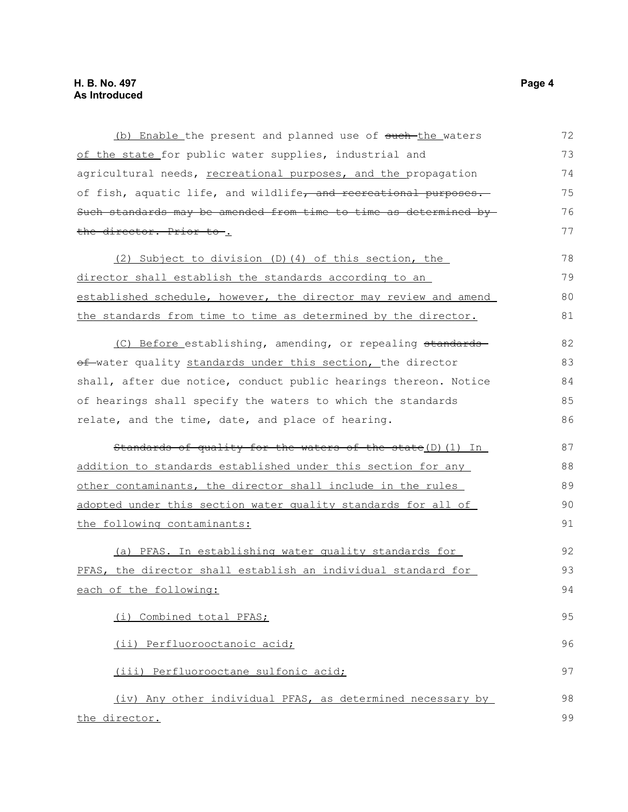(b) Enable the present and planned use of such the waters of the state for public water supplies, industrial and agricultural needs, recreational purposes, and the propagation of fish, aquatic life, and wildlife, and recreational purposes. Such standards may be amended from time to time as determined by the director. Prior to . 72 73 74 75 76 77

(2) Subject to division (D)(4) of this section, the director shall establish the standards according to an established schedule, however, the director may review and amend the standards from time to time as determined by the director. 78 79 80 81

(C) Before establishing, amending, or repealing standards of water quality standards under this section, the director shall, after due notice, conduct public hearings thereon. Notice of hearings shall specify the waters to which the standards relate, and the time, date, and place of hearing. 82 83 84 85 86

Standards of quality for the waters of the state(D)(1) In addition to standards established under this section for any other contaminants, the director shall include in the rules adopted under this section water quality standards for all of the following contaminants: 87 88 89 90 91

(a) PFAS. In establishing water quality standards for PFAS, the director shall establish an individual standard for each of the following: 92 93 94

(i) Combined total PFAS; (ii) Perfluorooctanoic acid; (iii) Perfluorooctane sulfonic acid; (iv) Any other individual PFAS, as determined necessary by

the director. 98 99

95

96

97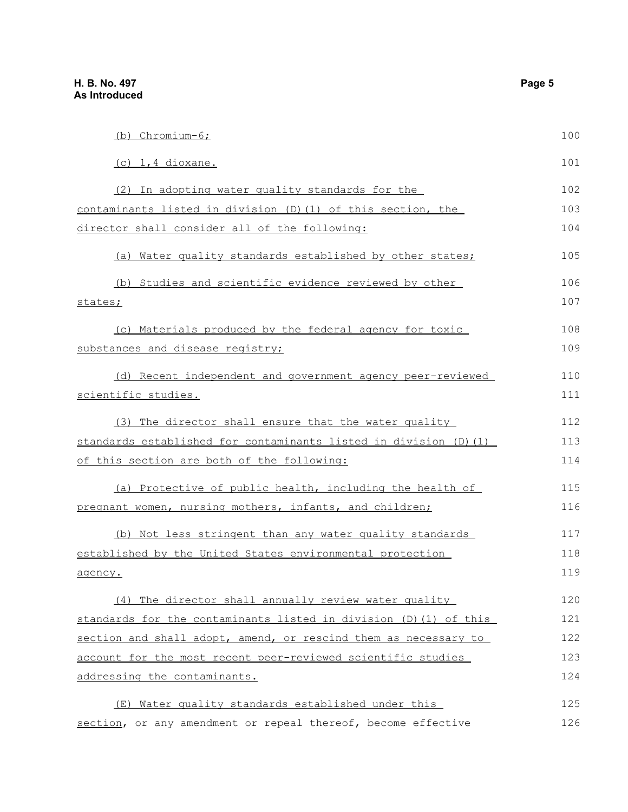| (b) Chromium-6;                                                   | 100 |
|-------------------------------------------------------------------|-----|
| $(c)$ 1,4 dioxane.                                                | 101 |
| (2) In adopting water quality standards for the                   | 102 |
| contaminants listed in division (D) (1) of this section, the      | 103 |
| director shall consider all of the following:                     | 104 |
| (a) Water quality standards established by other states;          | 105 |
| (b) Studies and scientific evidence reviewed by other             | 106 |
| states;                                                           | 107 |
| (c) Materials produced by the federal agency for toxic            | 108 |
| substances and disease registry;                                  | 109 |
| (d) Recent independent and government agency peer-reviewed        | 110 |
| <u>scientific studies.</u>                                        | 111 |
| (3) The director shall ensure that the water quality              | 112 |
| standards established for contaminants listed in division (D) (1) |     |
| of this section are both of the following:                        | 114 |
| (a) Protective of public health, including the health of          | 115 |
| pregnant women, nursing mothers, infants, and children;           | 116 |
| (b) Not less stringent than any water quality standards           | 117 |
| established by the United States environmental protection         | 118 |
| agency.                                                           | 119 |
| (4) The director shall annually review water quality              | 120 |
| standards for the contaminants listed in division (D) (1) of this | 121 |
| section and shall adopt, amend, or rescind them as necessary to   | 122 |
| account for the most recent peer-reviewed scientific studies      | 123 |
| addressing the contaminants.                                      | 124 |
| (E) Water quality standards established under this                | 125 |
| section, or any amendment or repeal thereof, become effective     | 126 |